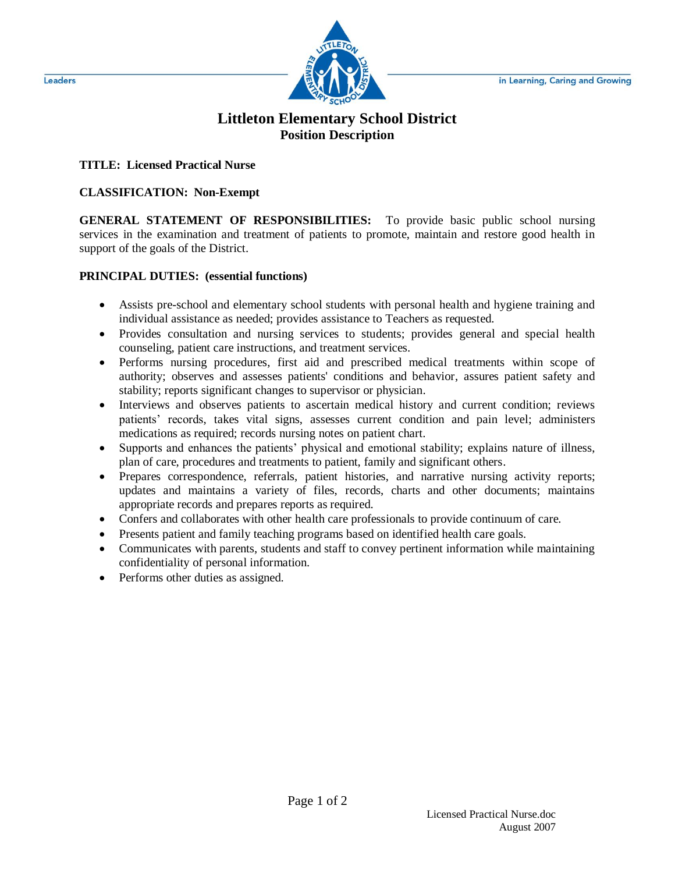

## **Littleton Elementary School District Position Description**

**TITLE: Licensed Practical Nurse**

## **CLASSIFICATION: Non-Exempt**

**GENERAL STATEMENT OF RESPONSIBILITIES:** To provide basic public school nursing services in the examination and treatment of patients to promote, maintain and restore good health in support of the goals of the District.

## **PRINCIPAL DUTIES: (essential functions)**

- Assists pre-school and elementary school students with personal health and hygiene training and individual assistance as needed; provides assistance to Teachers as requested.
- Provides consultation and nursing services to students; provides general and special health counseling, patient care instructions, and treatment services.
- Performs nursing procedures, first aid and prescribed medical treatments within scope of authority; observes and assesses patients' conditions and behavior, assures patient safety and stability; reports significant changes to supervisor or physician.
- Interviews and observes patients to ascertain medical history and current condition; reviews patients' records, takes vital signs, assesses current condition and pain level; administers medications as required; records nursing notes on patient chart.
- Supports and enhances the patients' physical and emotional stability; explains nature of illness, plan of care, procedures and treatments to patient, family and significant others.
- Prepares correspondence, referrals, patient histories, and narrative nursing activity reports; updates and maintains a variety of files, records, charts and other documents; maintains appropriate records and prepares reports as required.
- Confers and collaborates with other health care professionals to provide continuum of care.
- Presents patient and family teaching programs based on identified health care goals.
- Communicates with parents, students and staff to convey pertinent information while maintaining confidentiality of personal information.
- Performs other duties as assigned.

Leaders